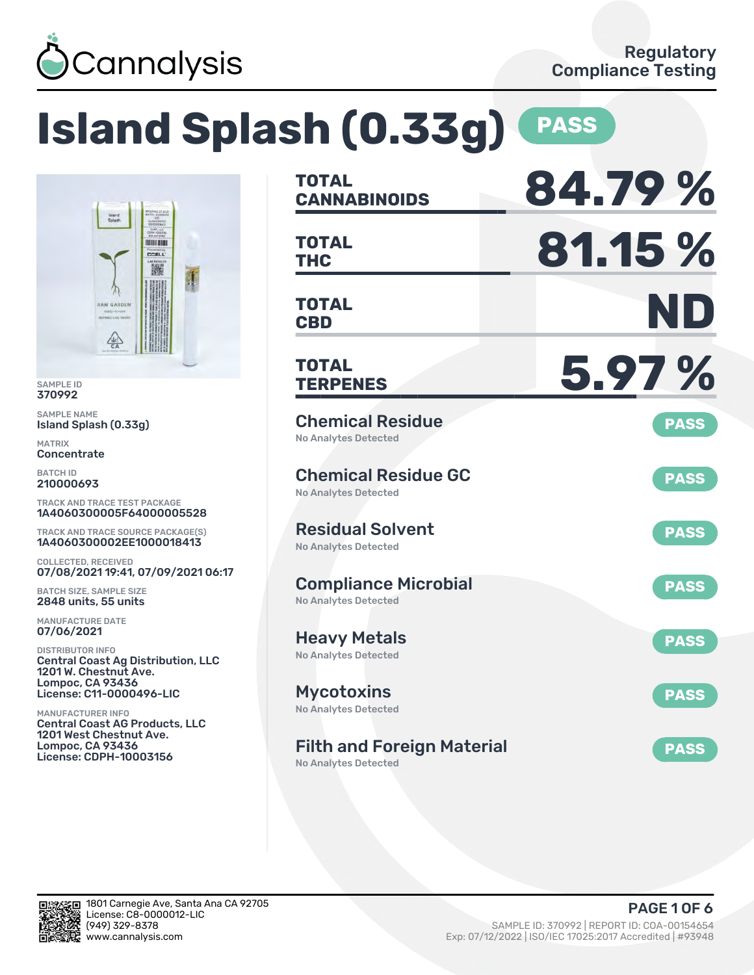

**HELEN CCELL** 羅

### **Island Splash (0.33g) PASS TOTAL CANNABINOIDS 84.79 % TOTAL THC 81.15 % TOTAL CBD ND TOTAL TERPENES 5.97 %** Chemical Residue No Analytes Detected **PASS** Chemical Residue GC No Analytes Detected **PASS** Residual Solvent No Analytes Detected **PASS** Compliance Microbial No Analytes Detected **PASS** Heavy Metals No Analytes Detected **PASS** Mycotoxins No Analytes Detected **PASS** Filth and Foreign Material **PASS** 1A4060300005F64000005528 TRACK AND TRACE SOURCE PACKAGE(S) 07/08/2021 19:41, 07/09/2021 06:17 Central Coast Ag Distribution, LLC Central Coast AG Products, LLC

No Analytes Detected



SAMPLE ID 370992 SAMPLE NAME

MATRIX **Concentrate** BATCH ID 210000693

Island Splash (0.33g)

COLLECTED, RECEIVED

BATCH SIZE, SAMPLE SIZE 2848 units, 55 units MANUFACTURE DATE 07/06/2021 DISTRIBUTOR INFO

1201 W. Chestnut Ave. Lompoc, CA 93436 License: C11-0000496-LIC

1201 West Chestnut Ave. Lompoc, CA 93436 License: CDPH-10003156

MANUFACTURER INFO

TRACK AND TRACE TEST PACKAGE

1A4060300002EE1000018413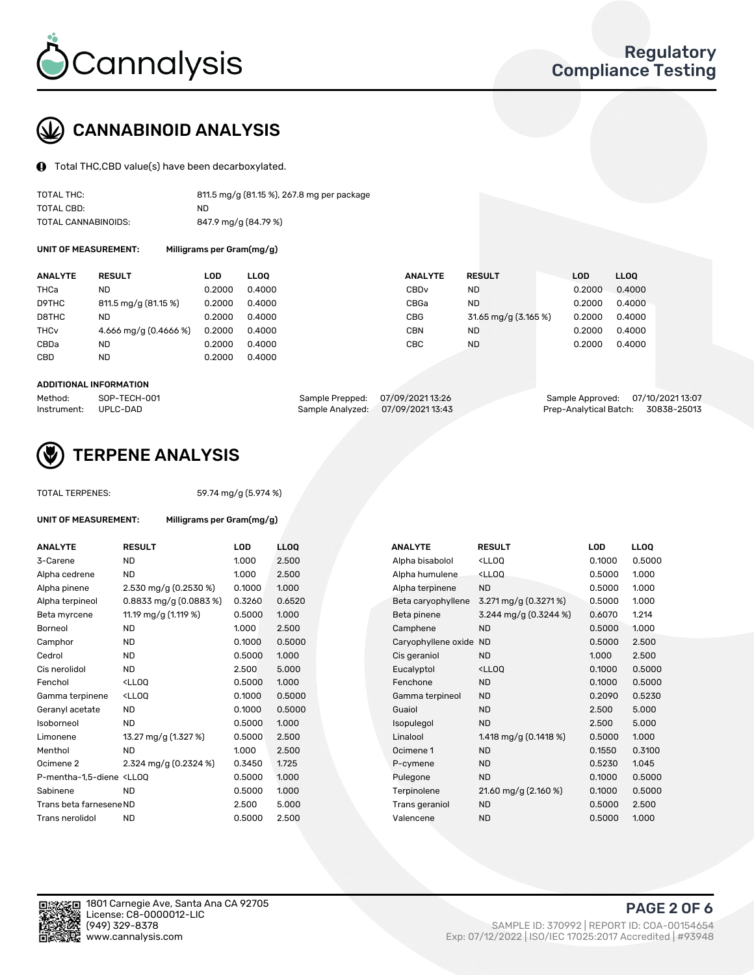

# CANNABINOID ANALYSIS

Total THC,CBD value(s) have been decarboxylated.

| TOTAL THC:          | 811.5 mg/g (81.15 %), 267.8 mg per package |
|---------------------|--------------------------------------------|
| TOTAL CBD:          | ND.                                        |
| TOTAL CANNABINOIDS: | 847.9 mg/g (84.79 %)                       |

UNIT OF MEASUREMENT: Milligrams per Gram(mg/g)

| <b>ANALYTE</b>         | <b>RESULT</b>           | LOD    | <b>LLOO</b> | <b>ANALYTE</b> | <b>RESULT</b>        | <b>LOD</b> | <b>LLOO</b> |
|------------------------|-------------------------|--------|-------------|----------------|----------------------|------------|-------------|
| THCa                   | ND                      | 0.2000 | 0.4000      | CBDv           | ND                   | 0.2000     | 0.4000      |
| D9THC                  | 811.5 mg/g (81.15 %)    | 0.2000 | 0.4000      | CBGa           | ND                   | 0.2000     | 0.4000      |
| D8THC                  | ND                      | 0.2000 | 0.4000      | CBG            | 31.65 mg/g (3.165 %) | 0.2000     | 0.4000      |
| <b>THC<sub>v</sub></b> | 4.666 mg/g $(0.4666\%)$ | 0.2000 | 0.4000      | <b>CBN</b>     | ND                   | 0.2000     | 0.4000      |
| CBDa                   | <b>ND</b>               | 0.2000 | 0.4000      | CBC            | <b>ND</b>            | 0.2000     | 0.4000      |
| CBD                    | <b>ND</b>               | 0.2000 | 0.4000      |                |                      |            |             |
|                        |                         |        |             |                |                      |            |             |

#### ADDITIONAL INFORMATION

| Method:              | SOP-TECH-001 | Sample Prepped: 07/09/2021 13:26  | Sample Approved: 07/10/2021 13:07  |  |
|----------------------|--------------|-----------------------------------|------------------------------------|--|
| Instrument: UPLC-DAD |              | Sample Analyzed: 07/09/2021 13:43 | Prep-Analytical Batch: 30838-25013 |  |



## TERPENE ANALYSIS

| <b>TOTAL TERPENES:</b>                                                        |                                                   | 59.74 mg/g (5.974 %) |      |  |  |  |  |  |
|-------------------------------------------------------------------------------|---------------------------------------------------|----------------------|------|--|--|--|--|--|
| <b>UNIT OF MEASUREMENT:</b>                                                   | Milligrams per Gram(mg/g)                         |                      |      |  |  |  |  |  |
| <b>ANALYTE</b>                                                                | <b>RESULT</b>                                     | LOD                  | LLO  |  |  |  |  |  |
| 3-Carene                                                                      | <b>ND</b>                                         | 1.000                | 2.50 |  |  |  |  |  |
| Alpha cedrene                                                                 | ND.                                               | 1.000                | 2.5( |  |  |  |  |  |
| Alpha pinene                                                                  | 2.530 mg/g $(0.2530\%)$                           | 0.1000               | 1.00 |  |  |  |  |  |
| Alpha terpineol                                                               | 0.8833 mg/g (0.0883 %)                            | 0.3260               | 0.65 |  |  |  |  |  |
| Beta myrcene                                                                  | 11.19 mg/g (1.119 %)                              | 0.5000               | 1.00 |  |  |  |  |  |
| Borneol                                                                       | ND.                                               | 1.000                | 2.5( |  |  |  |  |  |
| Camphor                                                                       | <b>ND</b>                                         | 0.1000               | 0.5( |  |  |  |  |  |
| Cedrol                                                                        | <b>ND</b>                                         | 0.5000               | 1.00 |  |  |  |  |  |
| Cis nerolidol                                                                 | ND.                                               | 2.500                | 5.0( |  |  |  |  |  |
| Fenchol                                                                       | <lloo< td=""><td>0.5000</td><td>1.00</td></lloo<> | 0.5000               | 1.00 |  |  |  |  |  |
| Gamma terpinene                                                               | <lloq< td=""><td>0.1000</td><td>0.5(</td></lloq<> | 0.1000               | 0.5( |  |  |  |  |  |
| Geranyl acetate                                                               | ND.                                               | 0.1000               | 0.5( |  |  |  |  |  |
| Isoborneol                                                                    | ND.                                               | 0.5000               | 1.00 |  |  |  |  |  |
| Limonene                                                                      | 13.27 mg/g (1.327 %)                              | 0.5000               | 2.5( |  |  |  |  |  |
| Menthol                                                                       | <b>ND</b>                                         | 1.000                | 2.5( |  |  |  |  |  |
| Ocimene <sub>2</sub>                                                          | 2.324 mg/g $(0.2324\%)$                           | 0.3450               | 1.72 |  |  |  |  |  |
| P-mentha-1,5-diene <ll0q< td=""><td></td><td>0.5000</td><td>1.00</td></ll0q<> |                                                   | 0.5000               | 1.00 |  |  |  |  |  |
| Sabinene                                                                      | <b>ND</b>                                         | 0.5000               | 1.00 |  |  |  |  |  |
| Trans beta farnesene ND                                                       |                                                   | 2.500                | 5.0( |  |  |  |  |  |
| Trans nerolidol                                                               | <b>ND</b>                                         | 0.5000               | 2.5( |  |  |  |  |  |
|                                                                               |                                                   |                      |      |  |  |  |  |  |

| ANALYTE                                                                                                                                         | <b>RESULT</b>                                                                                                               | <b>LOD</b> | <b>LLOQ</b> | <b>ANALYTE</b>      | <b>RESULT</b>                                       | LOD    | <b>LLOQ</b> |
|-------------------------------------------------------------------------------------------------------------------------------------------------|-----------------------------------------------------------------------------------------------------------------------------|------------|-------------|---------------------|-----------------------------------------------------|--------|-------------|
| 3-Carene                                                                                                                                        | <b>ND</b>                                                                                                                   | 1.000      | 2.500       | Alpha bisabolol     | <lloq< td=""><td>0.1000</td><td>0.5000</td></lloq<> | 0.1000 | 0.5000      |
| Alpha cedrene                                                                                                                                   | <b>ND</b>                                                                                                                   | 1.000      | 2.500       | Alpha humulene      | <lloq< td=""><td>0.5000</td><td>1.000</td></lloq<>  | 0.5000 | 1.000       |
| Alpha pinene                                                                                                                                    | 2.530 mg/g (0.2530 %)                                                                                                       | 0.1000     | 1.000       | Alpha terpinene     | <b>ND</b>                                           | 0.5000 | 1.000       |
| Alpha terpineol                                                                                                                                 | $0.8833$ mg/g $(0.0883\%)$                                                                                                  | 0.3260     | 0.6520      | Beta caryophyllene  | 3.271 mg/g (0.3271%)                                | 0.5000 | 1.000       |
| Beta myrcene                                                                                                                                    | 11.19 mg/g (1.119 %)                                                                                                        | 0.5000     | 1.000       | Beta pinene         | 3.244 mg/g (0.3244 %)                               | 0.6070 | 1.214       |
| Borneol                                                                                                                                         | <b>ND</b>                                                                                                                   | 1.000      | 2.500       | Camphene            | <b>ND</b>                                           | 0.5000 | 1.000       |
| Camphor                                                                                                                                         | <b>ND</b>                                                                                                                   | 0.1000     | 0.5000      | Caryophyllene oxide | <b>ND</b>                                           | 0.5000 | 2.500       |
| Cedrol                                                                                                                                          | <b>ND</b>                                                                                                                   | 0.5000     | 1.000       | Cis geraniol        | <b>ND</b>                                           | 1.000  | 2.500       |
| Cis nerolidol                                                                                                                                   | <b>ND</b>                                                                                                                   | 2.500      | 5.000       | Eucalyptol          | <ll0q< td=""><td>0.1000</td><td>0.5000</td></ll0q<> | 0.1000 | 0.5000      |
| Fenchol                                                                                                                                         | <lloq< td=""><td>0.5000</td><td>1.000</td><td>Fenchone</td><td><b>ND</b></td><td>0.1000</td><td>0.5000</td></lloq<>         | 0.5000     | 1.000       | Fenchone            | <b>ND</b>                                           | 0.1000 | 0.5000      |
| Gamma terpinene                                                                                                                                 | <ll0q< td=""><td>0.1000</td><td>0.5000</td><td>Gamma terpineol</td><td><b>ND</b></td><td>0.2090</td><td>0.5230</td></ll0q<> | 0.1000     | 0.5000      | Gamma terpineol     | <b>ND</b>                                           | 0.2090 | 0.5230      |
| Geranyl acetate                                                                                                                                 | ND.                                                                                                                         | 0.1000     | 0.5000      | Guaiol              | <b>ND</b>                                           | 2.500  | 5.000       |
| Isoborneol                                                                                                                                      | <b>ND</b>                                                                                                                   | 0.5000     | 1.000       | Isopulegol          | <b>ND</b>                                           | 2.500  | 5.000       |
| Limonene                                                                                                                                        | 13.27 mg/g (1.327 %)                                                                                                        | 0.5000     | 2.500       | Linalool            | 1.418 mg/g $(0.1418\%)$                             | 0.5000 | 1.000       |
| Menthol                                                                                                                                         | <b>ND</b>                                                                                                                   | 1.000      | 2.500       | Ocimene 1           | <b>ND</b>                                           | 0.1550 | 0.3100      |
| Ocimene 2                                                                                                                                       | 2.324 mg/g (0.2324 %)                                                                                                       | 0.3450     | 1.725       | P-cymene            | <b>ND</b>                                           | 0.5230 | 1.045       |
| P-mentha-1,5-diene <lloq< td=""><td></td><td>0.5000</td><td>1.000</td><td>Pulegone</td><td><b>ND</b></td><td>0.1000</td><td>0.5000</td></lloq<> |                                                                                                                             | 0.5000     | 1.000       | Pulegone            | <b>ND</b>                                           | 0.1000 | 0.5000      |
| Sabinene                                                                                                                                        | <b>ND</b>                                                                                                                   | 0.5000     | 1.000       | Terpinolene         | 21.60 mg/g (2.160 %)                                | 0.1000 | 0.5000      |
| Trans beta farnesene ND                                                                                                                         |                                                                                                                             | 2.500      | 5.000       | Trans geraniol      | <b>ND</b>                                           | 0.5000 | 2.500       |
| Trans nerolidol                                                                                                                                 | <b>ND</b>                                                                                                                   | 0.5000     | 2.500       | Valencene           | <b>ND</b>                                           | 0.5000 | 1.000       |
|                                                                                                                                                 |                                                                                                                             |            |             |                     |                                                     |        |             |

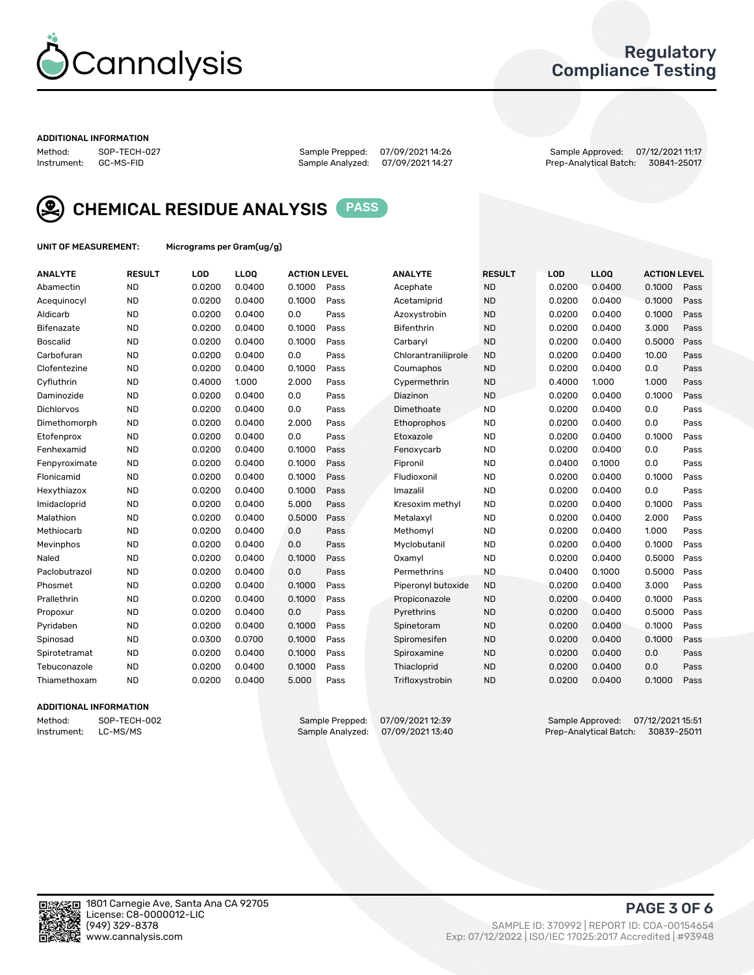

### Regulatory Compliance Testing

#### ADDITIONAL INFORMATION

Method: SOP-TECH-027 Sample Prepped: 07/09/2021 14:26 Sample Approved: 07/12/2021 11:17 Prep-Analytical Batch: 30841-25017



CHEMICAL RESIDUE ANALYSIS PASS

UNIT OF MEASUREMENT: Micrograms per Gram(ug/g)

| <b>ANALYTE</b>    | <b>RESULT</b> | LOD    | LL <sub>OO</sub> | <b>ACTION LEVEL</b> |      | <b>ANALYTE</b>      | <b>RESULT</b> | LOD    | <b>LLOQ</b> | <b>ACTION LEVEL</b> |      |
|-------------------|---------------|--------|------------------|---------------------|------|---------------------|---------------|--------|-------------|---------------------|------|
| Abamectin         | <b>ND</b>     | 0.0200 | 0.0400           | 0.1000              | Pass | Acephate            | <b>ND</b>     | 0.0200 | 0.0400      | 0.1000              | Pass |
| Acequinocyl       | <b>ND</b>     | 0.0200 | 0.0400           | 0.1000              | Pass | Acetamiprid         | <b>ND</b>     | 0.0200 | 0.0400      | 0.1000              | Pass |
| Aldicarb          | <b>ND</b>     | 0.0200 | 0.0400           | 0.0                 | Pass | Azoxystrobin        | <b>ND</b>     | 0.0200 | 0.0400      | 0.1000              | Pass |
| Bifenazate        | <b>ND</b>     | 0.0200 | 0.0400           | 0.1000              | Pass | <b>Bifenthrin</b>   | <b>ND</b>     | 0.0200 | 0.0400      | 3.000               | Pass |
| <b>Boscalid</b>   | <b>ND</b>     | 0.0200 | 0.0400           | 0.1000              | Pass | Carbaryl            | <b>ND</b>     | 0.0200 | 0.0400      | 0.5000              | Pass |
| Carbofuran        | <b>ND</b>     | 0.0200 | 0.0400           | 0.0                 | Pass | Chlorantraniliprole | <b>ND</b>     | 0.0200 | 0.0400      | 10.00               | Pass |
| Clofentezine      | <b>ND</b>     | 0.0200 | 0.0400           | 0.1000              | Pass | Coumaphos           | <b>ND</b>     | 0.0200 | 0.0400      | 0.0                 | Pass |
| Cyfluthrin        | <b>ND</b>     | 0.4000 | 1.000            | 2.000               | Pass | Cypermethrin        | <b>ND</b>     | 0.4000 | 1.000       | 1.000               | Pass |
| Daminozide        | <b>ND</b>     | 0.0200 | 0.0400           | 0.0                 | Pass | Diazinon            | <b>ND</b>     | 0.0200 | 0.0400      | 0.1000              | Pass |
| <b>Dichlorvos</b> | <b>ND</b>     | 0.0200 | 0.0400           | 0.0                 | Pass | Dimethoate          | <b>ND</b>     | 0.0200 | 0.0400      | 0.0                 | Pass |
| Dimethomorph      | <b>ND</b>     | 0.0200 | 0.0400           | 2.000               | Pass | Ethoprophos         | <b>ND</b>     | 0.0200 | 0.0400      | 0.0                 | Pass |
| Etofenprox        | <b>ND</b>     | 0.0200 | 0.0400           | 0.0                 | Pass | Etoxazole           | <b>ND</b>     | 0.0200 | 0.0400      | 0.1000              | Pass |
| Fenhexamid        | <b>ND</b>     | 0.0200 | 0.0400           | 0.1000              | Pass | Fenoxycarb          | <b>ND</b>     | 0.0200 | 0.0400      | 0.0                 | Pass |
| Fenpyroximate     | <b>ND</b>     | 0.0200 | 0.0400           | 0.1000              | Pass | Fipronil            | <b>ND</b>     | 0.0400 | 0.1000      | 0.0                 | Pass |
| Flonicamid        | <b>ND</b>     | 0.0200 | 0.0400           | 0.1000              | Pass | Fludioxonil         | <b>ND</b>     | 0.0200 | 0.0400      | 0.1000              | Pass |
| Hexythiazox       | <b>ND</b>     | 0.0200 | 0.0400           | 0.1000              | Pass | Imazalil            | <b>ND</b>     | 0.0200 | 0.0400      | 0.0                 | Pass |
| Imidacloprid      | <b>ND</b>     | 0.0200 | 0.0400           | 5.000               | Pass | Kresoxim methyl     | <b>ND</b>     | 0.0200 | 0.0400      | 0.1000              | Pass |
| Malathion         | <b>ND</b>     | 0.0200 | 0.0400           | 0.5000              | Pass | Metalaxyl           | <b>ND</b>     | 0.0200 | 0.0400      | 2.000               | Pass |
| Methiocarb        | <b>ND</b>     | 0.0200 | 0.0400           | 0.0                 | Pass | Methomyl            | <b>ND</b>     | 0.0200 | 0.0400      | 1.000               | Pass |
| Mevinphos         | <b>ND</b>     | 0.0200 | 0.0400           | 0.0                 | Pass | Myclobutanil        | <b>ND</b>     | 0.0200 | 0.0400      | 0.1000              | Pass |
| Naled             | <b>ND</b>     | 0.0200 | 0.0400           | 0.1000              | Pass | Oxamyl              | <b>ND</b>     | 0.0200 | 0.0400      | 0.5000              | Pass |
| Paclobutrazol     | <b>ND</b>     | 0.0200 | 0.0400           | 0.0                 | Pass | Permethrins         | <b>ND</b>     | 0.0400 | 0.1000      | 0.5000              | Pass |
| Phosmet           | <b>ND</b>     | 0.0200 | 0.0400           | 0.1000              | Pass | Piperonyl butoxide  | <b>ND</b>     | 0.0200 | 0.0400      | 3.000               | Pass |
| Prallethrin       | <b>ND</b>     | 0.0200 | 0.0400           | 0.1000              | Pass | Propiconazole       | <b>ND</b>     | 0.0200 | 0.0400      | 0.1000              | Pass |
| Propoxur          | <b>ND</b>     | 0.0200 | 0.0400           | 0.0                 | Pass | Pyrethrins          | <b>ND</b>     | 0.0200 | 0.0400      | 0.5000              | Pass |
| Pyridaben         | <b>ND</b>     | 0.0200 | 0.0400           | 0.1000              | Pass | Spinetoram          | <b>ND</b>     | 0.0200 | 0.0400      | 0.1000              | Pass |
| Spinosad          | <b>ND</b>     | 0.0300 | 0.0700           | 0.1000              | Pass | Spiromesifen        | <b>ND</b>     | 0.0200 | 0.0400      | 0.1000              | Pass |
| Spirotetramat     | <b>ND</b>     | 0.0200 | 0.0400           | 0.1000              | Pass | Spiroxamine         | <b>ND</b>     | 0.0200 | 0.0400      | 0.0                 | Pass |
| Tebuconazole      | <b>ND</b>     | 0.0200 | 0.0400           | 0.1000              | Pass | Thiacloprid         | <b>ND</b>     | 0.0200 | 0.0400      | 0.0                 | Pass |
| Thiamethoxam      | <b>ND</b>     | 0.0200 | 0.0400           | 5.000               | Pass | Trifloxystrobin     | <b>ND</b>     | 0.0200 | 0.0400      | 0.1000              | Pass |
|                   |               |        |                  |                     |      |                     |               |        |             |                     |      |

#### ADDITIONAL INFORMATION

Method: SOP-TECH-002 Sample Prepped: 07/09/2021 12:39 Sample Approved: 07/12/2021 15:51<br>Instrument: LC-MS/MS Sample Analyzed: 07/09/2021 13:40 Prep-Analytical Batch: 30839-25011 Prep-Analytical Batch: 30839-25011

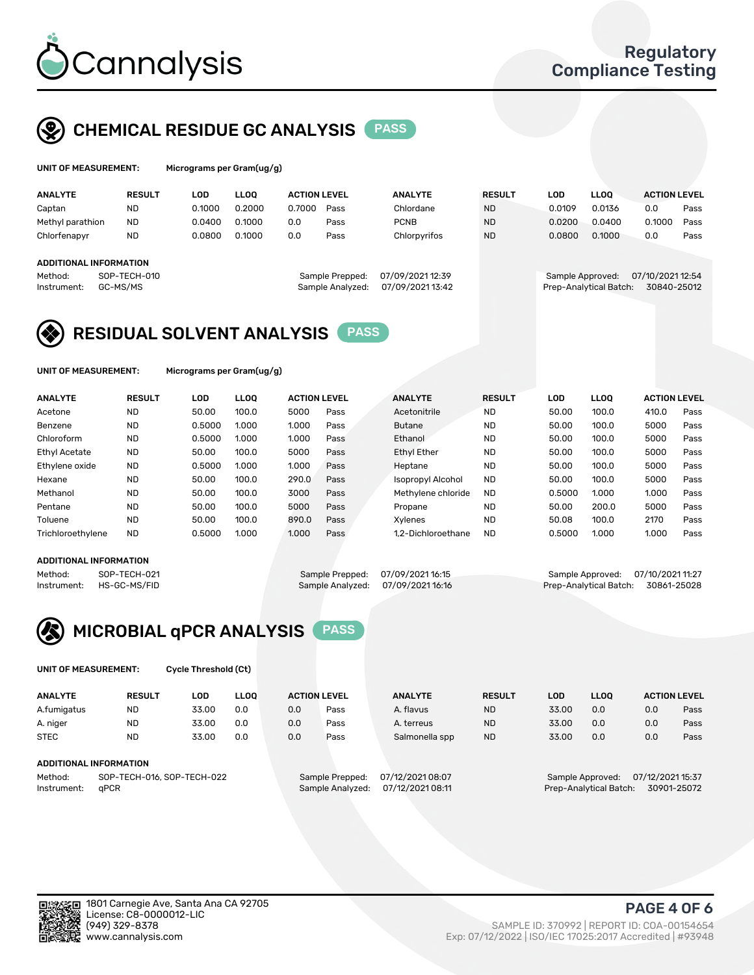

## CHEMICAL RESIDUE GC ANALYSIS PASS

| UNIT OF MEASUREMENT: | <b>Micro</b> |
|----------------------|--------------|
|----------------------|--------------|

grams per Gram(ug/g)

| <b>ANALYTE</b>         | <b>RESULT</b> | LOD    | <b>LLOO</b> | <b>ACTION LEVEL</b> |                  | <b>ANALYTE</b>   | <b>RESULT</b> | LOD              | <b>LLOO</b>            | <b>ACTION LEVEL</b> |      |
|------------------------|---------------|--------|-------------|---------------------|------------------|------------------|---------------|------------------|------------------------|---------------------|------|
| Captan                 | <b>ND</b>     | 0.1000 | 0.2000      | 0.7000              | Pass             | Chlordane        | <b>ND</b>     | 0.0109           | 0.0136                 | 0.0                 | Pass |
| Methyl parathion       | <b>ND</b>     | 0.0400 | 0.1000      | 0.0                 | Pass             | <b>PCNB</b>      | <b>ND</b>     | 0.0200           | 0.0400                 | 0.1000              | Pass |
| Chlorfenapyr           | <b>ND</b>     | 0.0800 | 0.1000      | 0.0                 | Pass             | Chlorpyrifos     | <b>ND</b>     | 0.0800           | 0.1000                 | 0.0                 | Pass |
|                        |               |        |             |                     |                  |                  |               |                  |                        |                     |      |
| ADDITIONAL INFORMATION |               |        |             |                     |                  |                  |               |                  |                        |                     |      |
| Method:                | SOP-TECH-010  |        |             |                     | Sample Prepped:  | 07/09/2021 12:39 |               | Sample Approved: |                        | 07/10/2021 12:54    |      |
| Instrument:            | GC-MS/MS      |        |             |                     | Sample Analyzed: | 07/09/2021 13:42 |               |                  | Prep-Analytical Batch: | 30840-25012         |      |
|                        |               |        |             |                     |                  |                  |               |                  |                        |                     |      |

## RESIDUAL SOLVENT ANALYSIS PASS

UNIT OF MEASUREMENT: Micrograms per Gram(ug/g)

| <b>ANALYTE</b>       | <b>RESULT</b> | LOD    | <b>LLOO</b> | <b>ACTION LEVEL</b> |      | <b>ANALYTE</b>           | <b>RESULT</b> | LOD    | LLOO  | <b>ACTION LEVEL</b> |      |
|----------------------|---------------|--------|-------------|---------------------|------|--------------------------|---------------|--------|-------|---------------------|------|
| Acetone              | <b>ND</b>     | 50.00  | 100.0       | 5000                | Pass | Acetonitrile             | <b>ND</b>     | 50.00  | 100.0 | 410.0               | Pass |
| Benzene              | <b>ND</b>     | 0.5000 | 1.000       | 1.000               | Pass | <b>Butane</b>            | <b>ND</b>     | 50.00  | 100.0 | 5000                | Pass |
| Chloroform           | <b>ND</b>     | 0.5000 | 1.000       | 1.000               | Pass | Ethanol                  | <b>ND</b>     | 50.00  | 100.0 | 5000                | Pass |
| <b>Ethyl Acetate</b> | <b>ND</b>     | 50.00  | 100.0       | 5000                | Pass | <b>Ethyl Ether</b>       | <b>ND</b>     | 50.00  | 100.0 | 5000                | Pass |
| Ethylene oxide       | <b>ND</b>     | 0.5000 | 1.000       | 1.000               | Pass | Heptane                  | <b>ND</b>     | 50.00  | 100.0 | 5000                | Pass |
| Hexane               | <b>ND</b>     | 50.00  | 100.0       | 290.0               | Pass | <b>Isopropyl Alcohol</b> | <b>ND</b>     | 50.00  | 100.0 | 5000                | Pass |
| Methanol             | <b>ND</b>     | 50.00  | 100.0       | 3000                | Pass | Methylene chloride       | <b>ND</b>     | 0.5000 | 1.000 | 1.000               | Pass |
| Pentane              | <b>ND</b>     | 50.00  | 100.0       | 5000                | Pass | Propane                  | <b>ND</b>     | 50.00  | 200.0 | 5000                | Pass |
| Toluene              | <b>ND</b>     | 50.00  | 100.0       | 890.0               | Pass | Xvlenes                  | <b>ND</b>     | 50.08  | 100.0 | 2170                | Pass |
| Trichloroethylene    | <b>ND</b>     | 0.5000 | 1.000       | 1.000               | Pass | 1.2-Dichloroethane       | <b>ND</b>     | 0.5000 | 1.000 | 1.000               | Pass |

#### ADDITIONAL INFORMATION

Method: SOP-TECH-021 Sample Prepped: 07/09/202116:15 Sample Approved: 07/10/202111:27<br>Instrument: HS-GC-MS/FID Sample Analyzed: 07/09/202116:16 Prep-Analytical Batch: 30861-25028 Prep-Analytical Batch: 30861-25028



UNIT OF MEASUREMENT: Cycle Threshold (Ct)

| <b>ANALYTE</b> | <b>RESULT</b>              | LOD   | <b>LLOO</b> |     | <b>ACTION LEVEL</b> | <b>ANALYTE</b>   | <b>RESULT</b> | LOD   | LL <sub>00</sub> |                  | <b>ACTION LEVEL</b> |
|----------------|----------------------------|-------|-------------|-----|---------------------|------------------|---------------|-------|------------------|------------------|---------------------|
| A.fumigatus    | <b>ND</b>                  | 33.00 | 0.0         | 0.0 | Pass                | A. flavus        | <b>ND</b>     | 33.00 | 0.0              | 0.0              | Pass                |
| A. niger       | <b>ND</b>                  | 33.00 | 0.0         | 0.0 | Pass                | A. terreus       | <b>ND</b>     | 33.00 | 0.0              | 0.0              | Pass                |
| <b>STEC</b>    | <b>ND</b>                  | 33.00 | 0.0         | 0.0 | Pass                | Salmonella spp   | <b>ND</b>     | 33.00 | 0.0              | 0.0              | Pass                |
|                | ADDITIONAL INFORMATION     |       |             |     |                     |                  |               |       |                  |                  |                     |
| Method:        | SOP-TECH-016, SOP-TECH-022 |       |             |     | Sample Prepped:     | 07/12/2021 08:07 |               |       | Sample Approved: | 07/12/2021 15:37 |                     |

Instrument: qPCR Sample Analyzed: 07/12/2021 08:11 Prep-Analytical Batch: 30901-25072

PAGE 4 OF 6

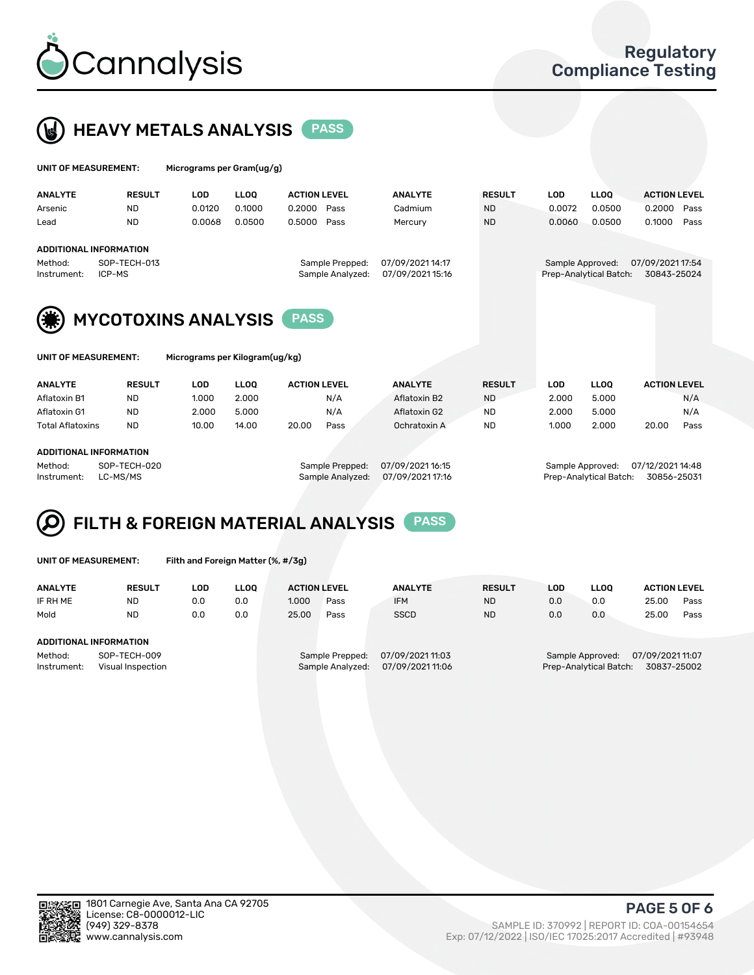



| UNIT OF MEASUREMENT: |                        |            | Micrograms per Gram(ug/g) |                     |                  |               |                  |                        |                     |  |  |  |  |  |
|----------------------|------------------------|------------|---------------------------|---------------------|------------------|---------------|------------------|------------------------|---------------------|--|--|--|--|--|
| <b>ANALYTE</b>       | <b>RESULT</b>          | <b>LOD</b> | <b>LLOO</b>               | <b>ACTION LEVEL</b> | <b>ANALYTE</b>   | <b>RESULT</b> | LOD              | <b>LLOO</b>            | <b>ACTION LEVEL</b> |  |  |  |  |  |
| Arsenic              | <b>ND</b>              | 0.0120     | 0.1000                    | 0.2000<br>Pass      | Cadmium          | <b>ND</b>     | 0.0072           | 0.0500                 | 0.2000<br>Pass      |  |  |  |  |  |
| Lead                 | <b>ND</b>              | 0.0068     | 0.0500                    | 0.5000<br>Pass      | Mercury          | <b>ND</b>     | 0.0060           | 0.0500                 | 0.1000<br>Pass      |  |  |  |  |  |
|                      | ADDITIONAL INFORMATION |            |                           |                     |                  |               |                  |                        |                     |  |  |  |  |  |
| Method:              | SOP-TECH-013           |            |                           | Sample Prepped:     | 07/09/2021 14:17 |               | Sample Approved: |                        | 07/09/2021 17:54    |  |  |  |  |  |
| Instrument:          | ICP-MS                 |            |                           | Sample Analyzed:    | 07/09/2021 15:16 |               |                  | Prep-Analytical Batch: | 30843-25024         |  |  |  |  |  |



MYCOTOXINS ANALYSIS PASS

| UNIT OF MEASUREMENT: |  |
|----------------------|--|
|----------------------|--|

Micrograms per Kilogram(ug/kg)

| <b>ANALYTE</b>          | <b>RESULT</b> | LOD.  | <b>LLOO</b> | <b>ACTION LEVEL</b> |      | <b>ANALYTE</b> | <b>RESULT</b> | LOD   | <b>LLOO</b> | <b>ACTION LEVEL</b> |      |
|-------------------------|---------------|-------|-------------|---------------------|------|----------------|---------------|-------|-------------|---------------------|------|
| Aflatoxin B1            | <b>ND</b>     | 1.000 | 2.000       |                     | N/A  | Aflatoxin B2   | <b>ND</b>     | 2.000 | 5.000       |                     | N/A  |
| Aflatoxin G1            | <b>ND</b>     | 2.000 | 5.000       |                     | N/A  | Aflatoxin G2   | <b>ND</b>     | 2.000 | 5.000       |                     | N/A  |
| <b>Total Aflatoxins</b> | <b>ND</b>     | 10.00 | 14.00       | 20.00               | Pass | Ochratoxin A   | <b>ND</b>     | 1.000 | 2.000       | 20.00               | Pass |
|                         |               |       |             |                     |      |                |               |       |             |                     |      |

#### ADDITIONAL INFORMATION

Method: SOP-TECH-020 Sample Prepped: 07/09/2021 16:15 Sample Approved: 07/12/2021 14:48 Instrument: LC-MS/MS Sample Analyzed: 07/09/2021 17:16 Prep-Analytical Batch: 30856-25031

# FILTH & FOREIGN MATERIAL ANALYSIS PASS

UNIT OF MEASUREMENT: Filth and Foreign Matter (%, #/3g)

| <b>ANALYTE</b>         | <b>RESULT</b>                     | LOD | <b>LLOO</b> | <b>ACTION LEVEL</b> |                                     | <b>ANALYTE</b>                      | <b>RESULT</b> | LOD | <b>LLOO</b>                                | <b>ACTION LEVEL</b>             |      |
|------------------------|-----------------------------------|-----|-------------|---------------------|-------------------------------------|-------------------------------------|---------------|-----|--------------------------------------------|---------------------------------|------|
| IF RH ME               | <b>ND</b>                         | 0.0 | 0.0         | 1.000               | Pass                                | <b>IFM</b>                          | <b>ND</b>     | 0.0 | 0.0                                        | 25.00                           | Pass |
| Mold                   | <b>ND</b>                         | 0.0 | 0.0         | 25.00               | Pass                                | <b>SSCD</b>                         | <b>ND</b>     | 0.0 | 0.0                                        | 25.00                           | Pass |
| ADDITIONAL INFORMATION |                                   |     |             |                     |                                     |                                     |               |     |                                            |                                 |      |
| Method:<br>Instrument: | SOP-TECH-009<br>Visual Inspection |     |             |                     | Sample Prepped:<br>Sample Analyzed: | 07/09/202111:03<br>07/09/2021 11:06 |               |     | Sample Approved:<br>Prep-Analytical Batch: | 07/09/2021 11:07<br>30837-25002 |      |